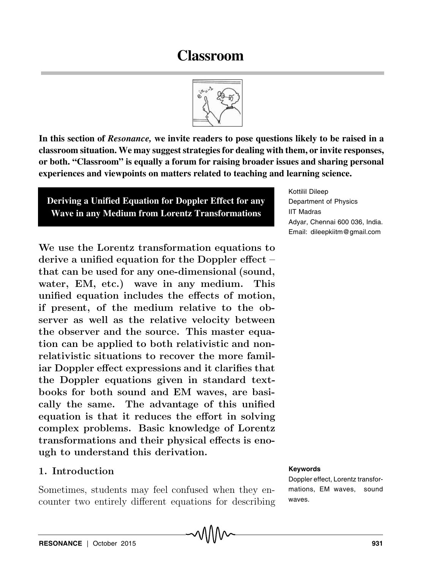# **Classroom**



**In this section of** *Resonance,* **we invite readers to pose questions likely to be raised in a classroom situation. We may suggest strategies for dealing with them, or invite responses, or both. "Classroom" is equally a forum for raising broader issues and sharing personal experiences and viewpoints on matters related to teaching and learning science.**

**Deriving a Unified Equation for Doppler Effect for any Wave in any Medium from Lorentz Transformations**

We use the Lorentz transformation equations to derive a unified equation for the Doppler effect – that can be used for any one-dimensional (sound, water, EM, etc.) wave in any medium. This unified equation includes the effects of motion, if present, of the medium relative to the observer as well as the relative velocity between the observer and the source. This master equation can be applied to both relativistic and nonrelativistic situations to recover the more familiar Doppler effect expressions and it clarifies that the Doppler equations given in standard textbooks for both sound and EM waves, are basically the same. The advantage of this unified equation is that it reduces the effort in solving complex problems. Basic knowledge of Lorentz transformations and their physical effects is enough to understand this derivation.

#### 1. Introduction

Sometimes, students may feel confused when they encounter two entirely different equations for describing Kottilil Dileep Department of Physics IIT Madras Adyar, Chennai 600 036, India. Email: dileepkiitm@gmail.com

#### **Keywords**

Doppler effect, Lorentz transformations, EM waves, sound waves.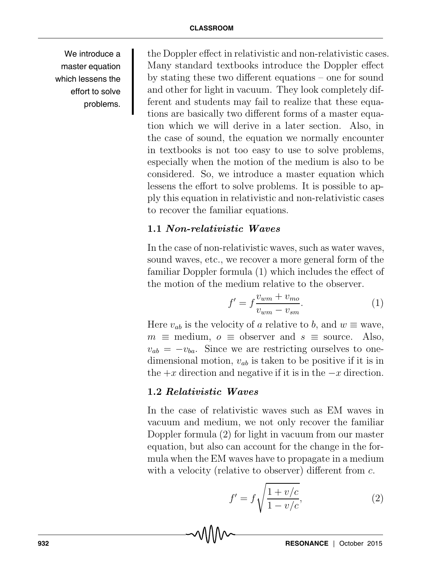We introduce a master equation which lessens the effort to solve problems.

the Doppler effect in relativistic and non-relativistic cases. Many standard textbooks introduce the Doppler effect by stating these two different equations – one for sound and other for light in vacuum. They look completely different and students may fail to realize that these equations are basically two different forms of a master equation which we will derive in a later section. Also, in the case of sound, the equation we normally encounter in textbooks is not too easy to use to solve problems, especially when the motion of the medium is also to be considered. So, we introduce a master equation which lessens the effort to solve problems. It is possible to apply this equation in relativistic and non-relativistic cases to recover the familiar equations.

# 1.1 Non-relativistic Waves

In the case of non-relativistic waves, such as water waves, sound waves, etc., we recover a more general form of the familiar Doppler formula (1) which includes the effect of the motion of the medium relative to the observer.

$$
f' = f \frac{v_{wm} + v_{mo}}{v_{wm} - v_{sm}}.\tag{1}
$$

Here  $v_{ab}$  is the velocity of a relative to b, and  $w \equiv$  wave,  $m \equiv$  medium,  $o \equiv$  observer and  $s \equiv$  source. Also,  $v_{ab} = -v_{ba}$ . Since we are restricting ourselves to onedimensional motion,  $v_{ab}$  is taken to be positive if it is in the  $+x$  direction and negative if it is in the  $-x$  direction.

## 1.2 Relativistic Waves

In the case of relativistic waves such as EM waves in vacuum and medium, we not only recover the familiar Doppler formula (2) for light in vacuum from our master equation, but also can account for the change in the formula when the EM waves have to propagate in a medium with a velocity (relative to observer) different from  $c$ .

$$
f' = f \sqrt{\frac{1 + v/c}{1 - v/c}},\tag{2}
$$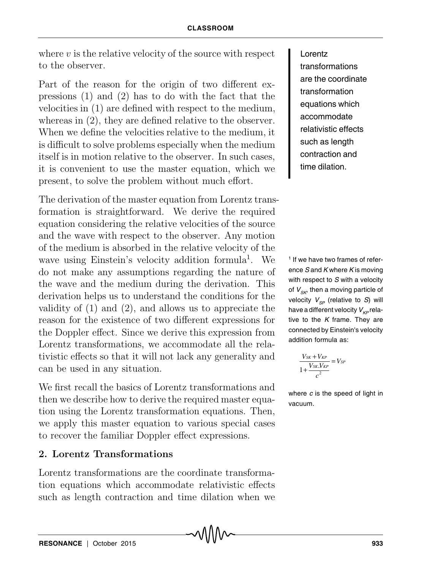where  $v$  is the relative velocity of the source with respect to the observer.

Part of the reason for the origin of two different expressions (1) and (2) has to do with the fact that the velocities in (1) are defined with respect to the medium, whereas in (2), they are defined relative to the observer. When we define the velocities relative to the medium, it is difficult to solve problems especially when the medium itself is in motion relative to the observer. In such cases, it is convenient to use the master equation, which we present, to solve the problem without much effort.

The derivation of the master equation from Lorentz transformation is straightforward. We derive the required equation considering the relative velocities of the source and the wave with respect to the observer. Any motion of the medium is absorbed in the relative velocity of the wave using Einstein's velocity addition formula<sup>1</sup>. We do not make any assumptions regarding the nature of the wave and the medium during the derivation. This derivation helps us to understand the conditions for the validity of (1) and (2), and allows us to appreciate the reason for the existence of two different expressions for the Doppler effect. Since we derive this expression from Lorentz transformations, we accommodate all the relativistic effects so that it will not lack any generality and can be used in any situation.

We first recall the basics of Lorentz transformations and then we describe how to derive the required master equation using the Lorentz transformation equations. Then, we apply this master equation to various special cases to recover the familiar Doppler effect expressions.

#### 2. Lorentz Transformations

Lorentz transformations are the coordinate transformation equations which accommodate relativistic effects such as length contraction and time dilation when we Lorentz transformations are the coordinate transformation equations which accommodate relativistic effects such as length contraction and time dilation.

1 If we have two frames of reference S and K where K is moving with respect to S with a velocity of  $V_{\leq K}$ , then a moving particle of velocity  $V_{SP}$  (relative to S) will have a different velocity  $V_{KP}$  relative to the  $K$  frame. They are connected by Einstein's velocity addition formula as:

$$
\frac{V_{SK} + V_{KP}}{1 + \frac{V_{SK}.V_{KP}}{c^2}} = V_{SF}
$$

where  $c$  is the speed of light in vacuum.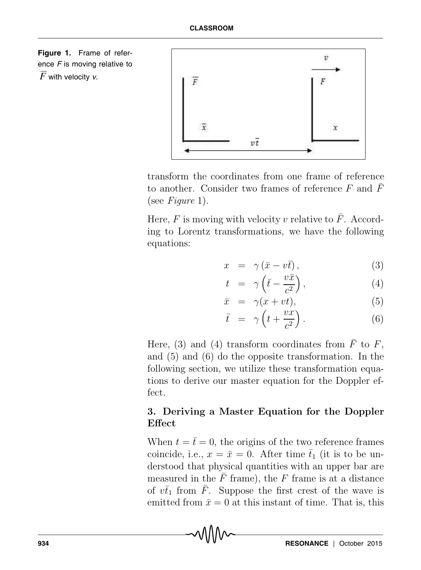



transform the coordinates from one frame of reference to another. Consider two frames of reference F and  $\bar{F}$ (see Figure 1).

Here,  $F$  is moving with velocity v relative to  $F$ . According to Lorentz transformations, we have the following equations:

$$
x = \gamma (\bar{x} - v\bar{t}), \qquad (3)
$$

$$
t = \gamma \left( \bar{t} - \frac{v \bar{x}}{c^2} \right), \tag{4}
$$

$$
\bar{x} = \gamma(x + vt), \tag{5}
$$

$$
\bar{t} = \gamma \left( t + \frac{vx}{c^2} \right). \tag{6}
$$

Here, (3) and (4) transform coordinates from  $\overline{F}$  to  $F$ , and (5) and (6) do the opposite transformation. In the following section, we utilize these transformation equations to derive our master equation for the Doppler effect.

# 3. Deriving a Master Equation for the Doppler **Effect**

When  $t = \bar{t} = 0$ , the origins of the two reference frames coincide, i.e.,  $x = \bar{x} = 0$ . After time  $\bar{t}_1$  (it is to be understood that physical quantities with an upper bar are measured in the  $\bar{F}$  frame), the F frame is at a distance of  $v\bar{t}_1$  from  $\bar{F}$ . Suppose the first crest of the wave is emitted from  $\bar{x} = 0$  at this instant of time. That is, this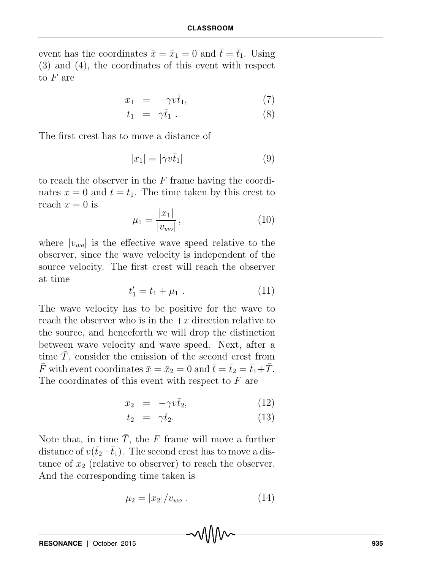event has the coordinates  $\bar{x} = \bar{x}_1 = 0$  and  $\bar{t} = \bar{t}_1$ . Using (3) and (4), the coordinates of this event with respect to F are

$$
x_1 = -\gamma v \bar{t}_1, \tag{7}
$$

$$
t_1 = \gamma \bar{t}_1 \,. \tag{8}
$$

The first crest has to move a distance of

$$
|x_1| = |\gamma v \bar{t}_1| \tag{9}
$$

to reach the observer in the  $F$  frame having the coordinates  $x = 0$  and  $t = t_1$ . The time taken by this crest to reach  $x = 0$  is

$$
\mu_1 = \frac{|x_1|}{|v_{wo}|},\tag{10}
$$

where  $|v_{wo}|$  is the effective wave speed relative to the observer, since the wave velocity is independent of the source velocity. The first crest will reach the observer at time

$$
t_1' = t_1 + \mu_1 \tag{11}
$$

The wave velocity has to be positive for the wave to reach the observer who is in the  $+x$  direction relative to the source, and henceforth we will drop the distinction between wave velocity and wave speed. Next, after a time  $\overline{T}$ , consider the emission of the second crest from  $\bar{F}$  with event coordinates  $\bar{x} = \bar{x}_2 = 0$  and  $\bar{t} = \bar{t}_2 = \bar{t}_1 + \bar{T}$ . The coordinates of this event with respect to  $F$  are

$$
x_2 = -\gamma v \bar{t}_2, \tag{12}
$$

$$
t_2 = \gamma \bar{t}_2. \tag{13}
$$

Note that, in time  $\overline{T}$ , the F frame will move a further distance of  $v(\bar{t}_2-\bar{t}_1)$ . The second crest has to move a distance of  $x_2$  (relative to observer) to reach the observer. And the corresponding time taken is

$$
\mu_2 = |x_2|/v_{wo} \ . \tag{14}
$$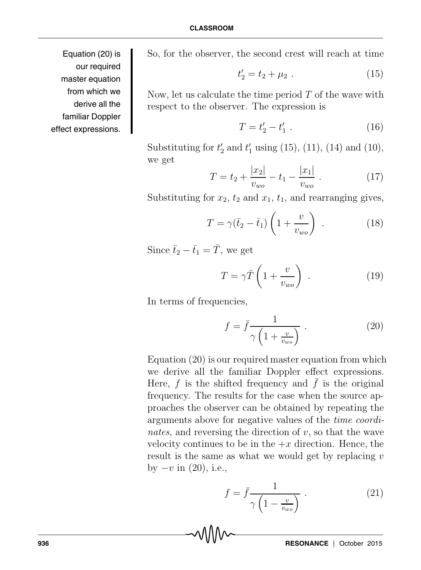Equation (20) is our required master equation from which we derive all the familiar Doppler effect expressions.

So, for the observer, the second crest will reach at time

$$
t_2' = t_2 + \mu_2 \tag{15}
$$

Now, let us calculate the time period  $T$  of the wave with respect to the observer. The expression is

$$
T = t_2' - t_1' \t\t(16)
$$

Substituting for  $t'_2$  and  $t'_1$  using (15), (11), (14) and (10), we get

$$
T = t_2 + \frac{|x_2|}{v_{wo}} - t_1 - \frac{|x_1|}{v_{wo}}.
$$
 (17)

Substituting for  $x_2$ ,  $t_2$  and  $x_1$ ,  $t_1$ , and rearranging gives,

$$
T = \gamma(\bar{t}_2 - \bar{t}_1) \left( 1 + \frac{v}{v_{wo}} \right) . \tag{18}
$$

Since  $\bar{t}_2 - \bar{t}_1 = \bar{T}$ , we get

$$
T = \gamma \bar{T} \left( 1 + \frac{v}{v_{wo}} \right) \tag{19}
$$

In terms of frequencies,

$$
f = \bar{f} \frac{1}{\gamma \left(1 + \frac{v}{v_{wo}}\right)}\,. \tag{20}
$$

Equation (20) is our required master equation from which we derive all the familiar Doppler effect expressions. Here,  $f$  is the shifted frequency and  $f$  is the original frequency. The results for the case when the source approaches the observer can be obtained by repeating the arguments above for negative values of the time coordinates, and reversing the direction of  $v$ , so that the wave velocity continues to be in the  $+x$  direction. Hence, the result is the same as what we would get by replacing  $v$ by  $-v$  in  $(20)$ , i.e.,

$$
f = \bar{f} \frac{1}{\gamma \left(1 - \frac{v}{v_{wo}}\right)}\,. \tag{21}
$$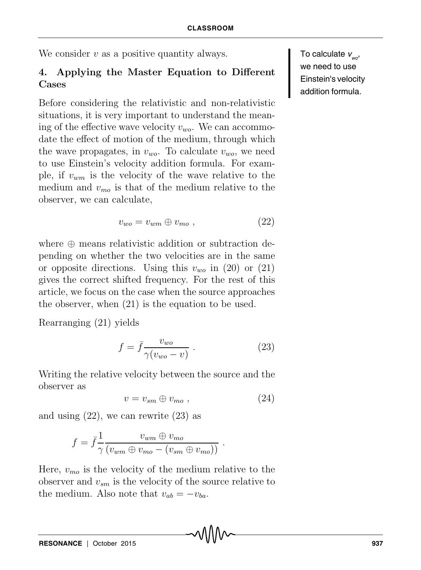We consider  $v$  as a positive quantity always.

# 4. Applying the Master Equation to Different Cases

Before considering the relativistic and non-relativistic situations, it is very important to understand the meaning of the effective wave velocity  $v_{wo}$ . We can accommodate the effect of motion of the medium, through which the wave propagates, in  $v_{wo}$ . To calculate  $v_{wo}$ , we need to use Einstein's velocity addition formula. For example, if  $v_{wm}$  is the velocity of the wave relative to the medium and  $v_{mo}$  is that of the medium relative to the observer, we can calculate,

$$
v_{wo} = v_{wm} \oplus v_{mo} \t\t(22)
$$

where  $\oplus$  means relativistic addition or subtraction depending on whether the two velocities are in the same or opposite directions. Using this  $v_{wo}$  in (20) or (21) gives the correct shifted frequency. For the rest of this article, we focus on the case when the source approaches the observer, when (21) is the equation to be used.

Rearranging (21) yields

$$
f = \bar{f} \frac{v_{wo}}{\gamma(v_{wo} - v)} . \tag{23}
$$

Writing the relative velocity between the source and the observer as

$$
v = v_{sm} \oplus v_{mo} \t{,} \t(24)
$$

and using  $(22)$ , we can rewrite  $(23)$  as

$$
f = \bar{f} \frac{1}{\gamma} \frac{v_{wm} \oplus v_{mo}}{(v_{wm} \oplus v_{mo} - (v_{sm} \oplus v_{mo}))}.
$$

Here,  $v_{mo}$  is the velocity of the medium relative to the observer and  $v_{sm}$  is the velocity of the source relative to the medium. Also note that  $v_{ab} = -v_{ba}$ .

To calculate  $v_{\text{wo}}$ , we need to use Einstein's velocity addition formula.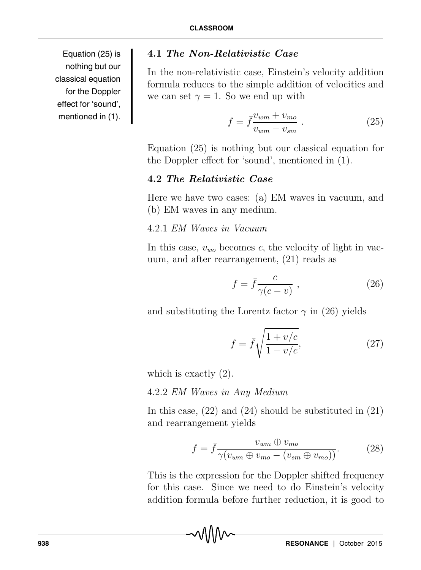Equation (25) is nothing but our classical equation for the Doppler effect for 'sound', mentioned in (1).

# 4.1 The Non-Relativistic Case

In the non-relativistic case, Einstein's velocity addition formula reduces to the simple addition of velocities and we can set  $\gamma = 1$ . So we end up with

$$
f = \bar{f} \frac{v_{wm} + v_{mo}}{v_{wm} - v_{sm}} . \tag{25}
$$

Equation (25) is nothing but our classical equation for the Doppler effect for 'sound', mentioned in (1).

# 4.2 The Relativistic Case

Here we have two cases: (a) EM waves in vacuum, and (b) EM waves in any medium.

## 4.2.1 EM Waves in Vacuum

In this case,  $v_{wo}$  becomes c, the velocity of light in vacuum, and after rearrangement, (21) reads as

$$
f = \bar{f} \frac{c}{\gamma(c - v)},
$$
\n(26)

and substituting the Lorentz factor  $\gamma$  in (26) yields

$$
f = \bar{f}\sqrt{\frac{1+v/c}{1-v/c}},\tag{27}
$$

which is exactly (2).

4.2.2 EM Waves in Any Medium

In this case, (22) and (24) should be substituted in (21) and rearrangement yields

$$
f = \bar{f} \frac{v_{wm} \oplus v_{mo}}{\gamma(v_{wm} \oplus v_{mo} - (v_{sm} \oplus v_{mo}))}.
$$
 (28)

This is the expression for the Doppler shifted frequency for this case. Since we need to do Einstein's velocity addition formula before further reduction, it is good to